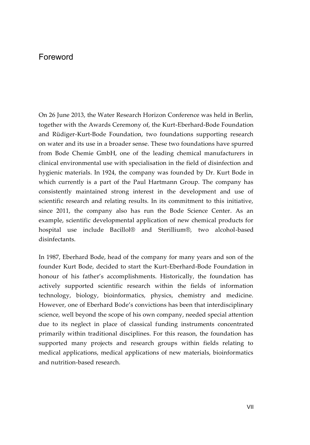## Foreword

On 26 June 2013, the Water Research Horizon Conference was held in Berlin, together with the Awards Ceremony of, the Kurt-Eberhard-Bode Foundation and Rüdiger-Kurt-Bode Foundation, two foundations supporting research on water and its use in a broader sense. These two foundations have spurred from Bode Chemie GmbH, one of the leading chemical manufacturers in clinical environmental use with specialisation in the field of disinfection and hygienic materials. In 1924, the company was founded by Dr. Kurt Bode in which currently is a part of the Paul Hartmann Group. The company has consistently maintained strong interest in the development and use of scientific research and relating results. In its commitment to this initiative, since 2011, the company also has run the Bode Science Center. As an example, scientific developmental application of new chemical products for hospital use include Bacillol® and Sterillium®, two alcohol-based disinfectants.

In 1987, Eberhard Bode, head of the company for many years and son of the founder Kurt Bode, decided to start the Kurt-Eberhard-Bode Foundation in honour of his father's accomplishments. Historically, the foundation has actively supported scientific research within the fields of information technology, biology, bioinformatics, physics, chemistry and medicine. However, one of Eberhard Bode's convictions has been that interdisciplinary science, well beyond the scope of his own company, needed special attention due to its neglect in place of classical funding instruments concentrated primarily within traditional disciplines. For this reason, the foundation has supported many projects and research groups within fields relating to medical applications, medical applications of new materials, bioinformatics and nutrition-based research.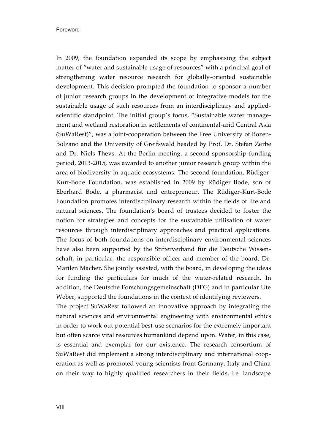In 2009, the foundation expanded its scope by emphasising the subject matter of "water and sustainable usage of resources" with a principal goal of strengthening water resource research for globally-oriented sustainable development. This decision prompted the foundation to sponsor a number of junior research groups in the development of integrative models for the sustainable usage of such resources from an interdisciplinary and appliedscientific standpoint. The initial group's focus, "Sustainable water management and wetland restoration in settlements of continental-arid Central Asia (SuWaRest)", was a joint-cooperation between the Free University of Bozen-Bolzano and the University of Greifswald headed by Prof. Dr. Stefan Zerbe and Dr. Niels Thevs. At the Berlin meeting, a second sponsorship funding period, 2013-2015, was awarded to another junior research group within the area of biodiversity in aquatic ecosystems. The second foundation, Rüdiger-Kurt-Bode Foundation, was established in 2009 by Rüdiger Bode, son of Eberhard Bode, a pharmacist and entrepreneur. The Rüdiger-Kurt-Bode Foundation promotes interdisciplinary research within the fields of life and natural sciences. The foundation's board of trustees decided to foster the notion for strategies and concepts for the sustainable utilisation of water resources through interdisciplinary approaches and practical applications. The focus of both foundations on interdisciplinary environmental sciences have also been supported by the Stifterverband für die Deutsche Wissenschaft, in particular, the responsible officer and member of the board, Dr. Marilen Macher. She jointly assisted, with the board, in developing the ideas for funding the particulars for much of the water-related research. In addition, the Deutsche Forschungsgemeinschaft (DFG) and in particular Ute Weber, supported the foundations in the context of identifying reviewers.

The project SuWaRest followed an innovative approach by integrating the natural sciences and environmental engineering with environmental ethics in order to work out potential best-use scenarios for the extremely important but often scarce vital resources humankind depend upon. Water, in this case, is essential and exemplar for our existence. The research consortium of SuWaRest did implement a strong interdisciplinary and international cooperation as well as promoted young scientists from Germany, Italy and China on their way to highly qualified researchers in their fields, i.e. landscape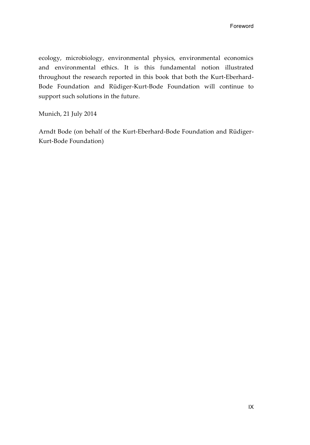ecology, microbiology, environmental physics, environmental economics and environmental ethics. It is this fundamental notion illustrated throughout the research reported in this book that both the Kurt-Eberhard-Bode Foundation and Rüdiger-Kurt-Bode Foundation will continue to support such solutions in the future.

Munich, 21 July 2014

Arndt Bode (on behalf of the Kurt-Eberhard-Bode Foundation and Rüdiger-Kurt-Bode Foundation)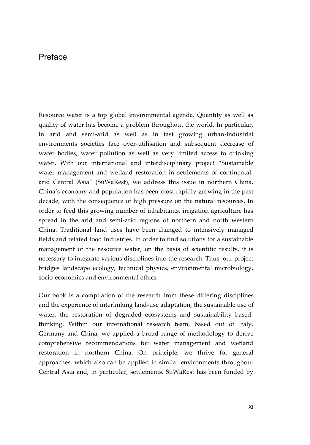## Preface

Resource water is a top global environmental agenda. Quantity as well as quality of water has become a problem throughout the world. In particular, in arid and semi-arid as well as in fast growing urban-industrial environments societies face over-utilisation and subsequent decrease of water bodies, water pollution as well as very limited access to drinking water. With our international and interdisciplinary project "Sustainable water management and wetland restoration in settlements of continentalarid Central Asia" (SuWaRest), we address this issue in northern China. China's economy and population has been most rapidly growing in the past decade, with the consequence of high pressure on the natural resources. In order to feed this growing number of inhabitants, irrigation agriculture has spread in the arid and semi-arid regions of northern and north western China. Traditional land uses have been changed to intensively managed fields and related food industries. In order to find solutions for a sustainable management of the resource water, on the basis of scientific results, it is necessary to integrate various disciplines into the research. Thus, our project bridges landscape ecology, technical physics, environmental microbiology, socio-economics and environmental ethics.

Our book is a compilation of the research from these differing disciplines and the experience of interlinking land-use adaptation, the sustainable use of water, the restoration of degraded ecosystems and sustainability basedthinking. Within our international research team, based out of Italy, Germany and China, we applied a broad range of methodology to derive comprehensive recommendations for water management and wetland restoration in northern China. On principle, we thrive for general approaches, which also can be applied in similar environments throughout Central Asia and, in particular, settlements. SuWaRest has been funded by